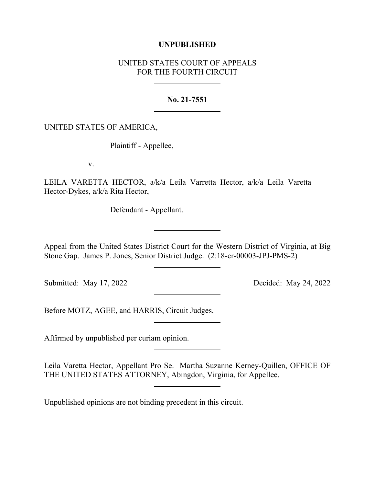## **UNPUBLISHED**

## UNITED STATES COURT OF APPEALS FOR THE FOURTH CIRCUIT

**No. 21-7551**

UNITED STATES OF AMERICA,

Plaintiff - Appellee,

v.

LEILA VARETTA HECTOR, a/k/a Leila Varretta Hector, a/k/a Leila Varetta Hector-Dykes, a/k/a Rita Hector,

Defendant - Appellant.

Appeal from the United States District Court for the Western District of Virginia, at Big Stone Gap. James P. Jones, Senior District Judge. (2:18-cr-00003-JPJ-PMS-2)

Submitted: May 17, 2022 Decided: May 24, 2022

Before MOTZ, AGEE, and HARRIS, Circuit Judges.

Affirmed by unpublished per curiam opinion.

Leila Varetta Hector, Appellant Pro Se. Martha Suzanne Kerney-Quillen, OFFICE OF THE UNITED STATES ATTORNEY, Abingdon, Virginia, for Appellee.

Unpublished opinions are not binding precedent in this circuit.